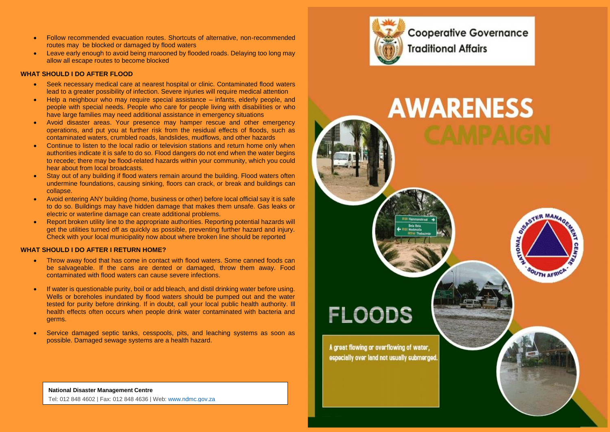- Follow recommended evacuation routes. Shortcuts of alternative, non-recommended routes may be blocked or damaged by flood waters
- Leave early enough to avoid being marooned by flooded roads. Delaying too long may allow all escape routes to become blocked

#### **WHAT SHOULD LDO AFTER FLOOD**

- Seek necessary medical care at nearest hospital or clinic. Contaminated flood waters lead to a greater possibility of infection. Severe injuries will require medical attention
- Help a neighbour who may require special assistance infants, elderly people, and people with special needs. People who care for people living with disabilities or who have large families may need additional assistance in emergency situations
- Avoid disaster areas. Your presence may hamper rescue and other emergency operations, and put you at further risk from the residual effects of floods, such as contaminated waters, crumbled roads, landslides, mudflows, and other hazards
- Continue to listen to the local radio or television stations and return home only when authorities indicate it is safe to do so. Flood dangers do not end when the water begins to recede; there may be flood-related hazards within your community, which you could hear about from local broadcasts.
- Stay out of any building if flood waters remain around the building. Flood waters often undermine foundations, causing sinking, floors can crack, or break and buildings can collapse.
- Avoid entering ANY building (home, business or other) before local official say it is safe to do so. Buildings may have hidden damage that makes them unsafe. Gas leaks or electric or waterline damage can create additional problems.
- Report broken utility line to the appropriate authorities. Reporting potential hazards will get the utilities turned off as quickly as possible, preventing further hazard and injury. Check with your local municipality now about where broken line should be reported

### **WHAT SHOULD I DO AFTER I RETURN HOME?**

- Throw away food that has come in contact with flood waters. Some canned foods can be salvageable. If the cans are dented or damaged, throw them away. Food contaminated with flood waters can cause severe infections.
- If water is questionable purity, boil or add bleach, and distil drinking water before using. Wells or boreholes inundated by flood waters should be pumped out and the water tested for purity before drinking. If in doubt, call your local public health authority. Ill health effects often occurs when people drink water contaminated with bacteria and germs.
- Service damaged septic tanks, cesspools, pits, and leaching systems as soon as possible. Damaged sewage systems are a health hazard.



**Cooperative Governance Traditional Affairs** 



**National Disaster Management Centre** Tel: 012 848 4602 | Fax: 012 848 4636 | Web: [www.ndmc.gov.za](http://www.ndmc.gov.za/)